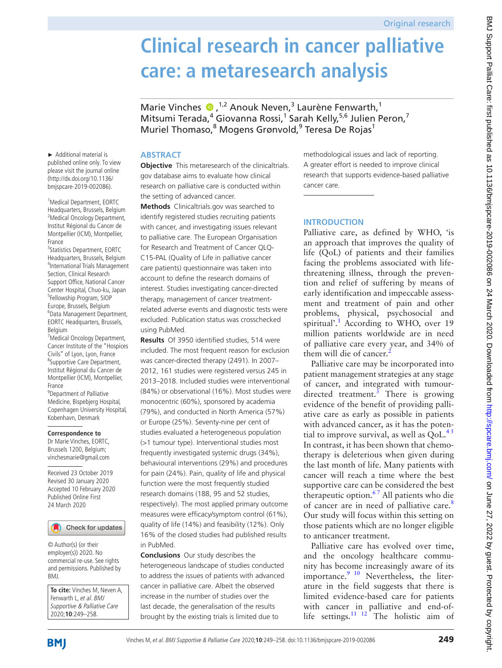# **Clinical research in cancer palliative care: a metaresearch analysis**

Marie Vinches <sup>®</sup>,<sup>1,2</sup> Anouk Neven,<sup>3</sup> Laurène Fenwarth,<sup>1</sup> Mitsumi Terada,<sup>4</sup> Giovanna Rossi,<sup>1</sup> Sarah Kelly,<sup>5,6</sup> Julien Peron,<sup>7</sup> Muriel Thomaso, <sup>8</sup> Mogens Grønvold, <sup>9</sup> Teresa De Rojas<sup>1</sup>

► Additional material is published online only. To view please visit the journal online (http://dx.doi.org/10.1136/ bmjspcare-2019-002086).

1 Medical Department, EORTC Headquarters, Brussels, Belgium <sup>2</sup>Medical Oncology Department, Institut Régional du Cancer de Montpellier (ICM), Montpellier, France

<sup>3</sup>Statistics Department, EORTC Headquarters, Brussels, Belgium 4 International Trials Management Section, Clinical Research Support Office, National Cancer Center Hospital, Chuo-ku, Japan 5 Fellowship Program, SIOP Europe, Brussels, Belgium 6 Data Management Department, EORTC Headquarters, Brussels, Belgium

7 Medical Oncology Department, Cancer Institute of the "Hospices Civils" of Lyon, Lyon, France <sup>8</sup>Supportive Care Department, Institut Régional du Cancer de Montpellier (ICM), Montpellier, France

<sup>9</sup> Department of Palliative Medicine, Bispebjerg Hospital, Copenhagen University Hospital, Kobenhavn, Denmark

**Correspondence to**

Dr Marie Vinches, EORTC, Brussels 1200, Belgium; vinchesmarie@gmail.com

Received 23 October 2019 Revised 30 January 2020 Accepted 10 February 2020 Published Online First 24 March 2020



© Author(s) (or their employer(s)) 2020. No commercial re-use. See rights and permissions. Published by BMJ.

**To cite:** Vinches M, Neven A, Fenwarth L, et al. BMJ Supportive & Palliative Care 2020;**10**:249–258.

## **Abstract**

**Objective** This metaresearch of the clinicaltrials. gov database aims to evaluate how clinical research on palliative care is conducted within the setting of advanced cancer.

**Methods** Clinicaltrials.gov was searched to identify registered studies recruiting patients with cancer, and investigating issues relevant to palliative care. The European Organisation for Research and Treatment of Cancer QLQ-C15-PAL (Quality of Life in palliative cancer care patients) questionnaire was taken into account to define the research domains of interest. Studies investigating cancer-directed therapy, management of cancer treatmentrelated adverse events and diagnostic tests were excluded. Publication status was crosschecked using PubMed.

**Results** Of 3950 identified studies, 514 were included. The most frequent reason for exclusion was cancer-directed therapy (2491). In 2007– 2012, 161 studies were registered versus 245 in 2013–2018. Included studies were interventional (84%) or observational (16%). Most studies were monocentric (60%), sponsored by academia (79%), and conducted in North America (57%) or Europe (25%). Seventy-nine per cent of studies evaluated a heterogeneous population (>1 tumour type). Interventional studies most frequently investigated systemic drugs (34%), behavioural interventions (29%) and procedures for pain (24%). Pain, quality of life and physical function were the most frequently studied research domains (188, 95 and 52 studies, respectively). The most applied primary outcome measures were efficacy/symptom control (61%), quality of life (14%) and feasibility (12%). Only 16% of the closed studies had published results in PubMed.

**Conclusions** Our study describes the heterogeneous landscape of studies conducted to address the issues of patients with advanced cancer in palliative care. Albeit the observed increase in the number of studies over the last decade, the generalisation of the results brought by the existing trials is limited due to

methodological issues and lack of reporting. A greater effort is needed to improve clinical research that supports evidence-based palliative cancer care.

# **Introduction**

Palliative care, as defined by WHO, 'is an approach that improves the quality of life (QoL) of patients and their families facing the problems associated with lifethreatening illness, through the prevention and relief of suffering by means of early identification and impeccable assessment and treatment of pain and other problems, physical, psychosocial and spiritual'.<sup>[1](#page-8-0)</sup> According to WHO, over 19 million patients worldwide are in need of palliative care every year, and 34% of them will die of cancer.<sup>[2](#page-8-1)</sup>

Palliative care may be incorporated into patient management strategies at any stage of cancer, and integrated with tumour-directed treatment.<sup>[3](#page-8-2)</sup> There is growing evidence of the benefit of providing palliative care as early as possible in patients with advanced cancer, as it has the potential to improve survival, as well as  $QoL<sup>45</sup>$ In contrast, it has been shown that chemotherapy is deleterious when given during the last month of life. Many patients with cancer will reach a time where the best supportive care can be considered the best therapeutic option.<sup>67</sup> All patients who die of cancer are in need of palliative care.<sup>8</sup> Our study will focus within this setting on those patients which are no longer eligible to anticancer treatment.

Palliative care has evolved over time, and the oncology healthcare community has become increasingly aware of its importance.<sup>9</sup> <sup>10</sup> Nevertheless, the literature in the field suggests that there is limited evidence-based care for patients with cancer in palliative and end-oflife settings.<sup>11 12</sup> The holistic aim of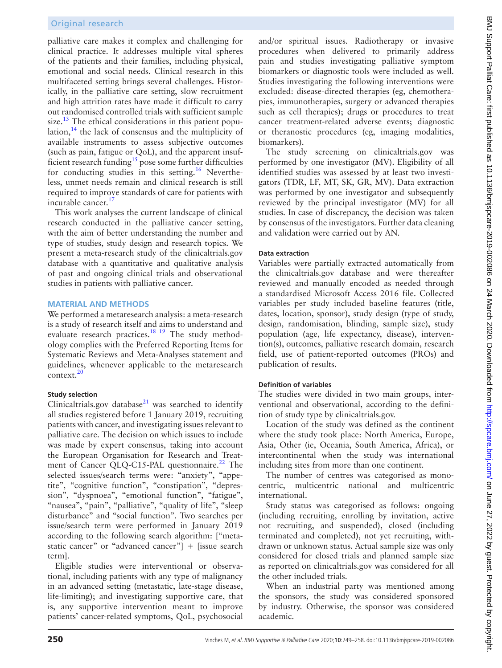palliative care makes it complex and challenging for clinical practice. It addresses multiple vital spheres of the patients and their families, including physical, emotional and social needs. Clinical research in this multifaceted setting brings several challenges. Historically, in the palliative care setting, slow recruitment and high attrition rates have made it difficult to carry out randomised controlled trials with sufficient sample size.<sup>[13](#page-8-8)</sup> The ethical considerations in this patient population, $14$  the lack of consensus and the multiplicity of available instruments to assess subjective outcomes (such as pain, fatigue or QoL), and the apparent insuf-ficient research funding<sup>[15](#page-8-10)</sup> pose some further difficulties for conducting studies in this setting.<sup>[16](#page-8-11)</sup> Nevertheless, unmet needs remain and clinical research is still required to improve standards of care for patients with incurable cancer.<sup>[17](#page-8-12)</sup>

This work analyses the current landscape of clinical research conducted in the palliative cancer setting, with the aim of better understanding the number and type of studies, study design and research topics. We present a meta-research study of the clinicaltrials.gov database with a quantitative and qualitative analysis of past and ongoing clinical trials and observational studies in patients with palliative cancer.

## **Material and methods**

We performed a metaresearch analysis: a meta-research is a study of research itself and aims to understand and evaluate research practices.<sup>18</sup> <sup>19</sup> The study methodology complies with the Preferred Reporting Items for Systematic Reviews and Meta-Analyses statement and guidelines, whenever applicable to the metaresearch context. $^{20}$  $^{20}$  $^{20}$ 

# **Study selection**

Clinicaltrials.gov database $^{21}$  was searched to identify all studies registered before 1 January 2019, recruiting patients with cancer, and investigating issues relevant to palliative care. The decision on which issues to include was made by expert consensus, taking into account the European Organisation for Research and Treat-ment of Cancer QLQ-C15-PAL questionnaire.<sup>[22](#page-8-16)</sup> The selected issues/search terms were: "anxiety", "appetite", "cognitive function", "constipation", "depression", "dyspnoea", "emotional function", "fatigue", "nausea", "pain", "palliative", "quality of life", "sleep disturbance" and "social function". Two searches per issue/search term were performed in January 2019 according to the following search algorithm: ["metastatic cancer" or "advanced cancer"] + [issue search term].

Eligible studies were interventional or observational, including patients with any type of malignancy in an advanced setting (metastatic, late-stage disease, life-limiting); and investigating supportive care, that is, any supportive intervention meant to improve patients' cancer-related symptoms, QoL, psychosocial

and/or spiritual issues. Radiotherapy or invasive procedures when delivered to primarily address pain and studies investigating palliative symptom biomarkers or diagnostic tools were included as well. Studies investigating the following interventions were excluded: disease-directed therapies (eg, chemotherapies, immunotherapies, surgery or advanced therapies such as cell therapies); drugs or procedures to treat cancer treatment-related adverse events; diagnostic or theranostic procedures (eg, imaging modalities, biomarkers).

The study screening on clinicaltrials.gov was performed by one investigator (MV). Eligibility of all identified studies was assessed by at least two investigators (TDR, LF, MT, SK, GR, MV). Data extraction was performed by one investigator and subsequently reviewed by the principal investigator (MV) for all studies. In case of discrepancy, the decision was taken by consensus of the investigators. Further data cleaning and validation were carried out by AN.

## **Data extraction**

Variables were partially extracted automatically from the clinicaltrials.gov database and were thereafter reviewed and manually encoded as needed through a standardised Microsoft Access 2016 file. Collected variables per study included baseline features (title, dates, location, sponsor), study design (type of study, design, randomisation, blinding, sample size), study population (age, life expectancy, disease), intervention(s), outcomes, palliative research domain, research field, use of patient-reported outcomes (PROs) and publication of results.

# **Definition of variables**

The studies were divided in two main groups, interventional and observational, according to the definition of study type by clinicaltrials.gov.

Location of the study was defined as the continent where the study took place: North America, Europe, Asia, Other (ie, Oceania, South America, Africa), or intercontinental when the study was international including sites from more than one continent.

The number of centres was categorised as monocentric, multicentric national and multicentric international.

Study status was categorised as follows: ongoing (including recruiting, enrolling by invitation, active not recruiting, and suspended), closed (including terminated and completed), not yet recruiting, withdrawn or unknown status. Actual sample size was only considered for closed trials and planned sample size as reported on clinicaltrials.gov was considered for all the other included trials.

When an industrial party was mentioned among the sponsors, the study was considered sponsored by industry. Otherwise, the sponsor was considered academic.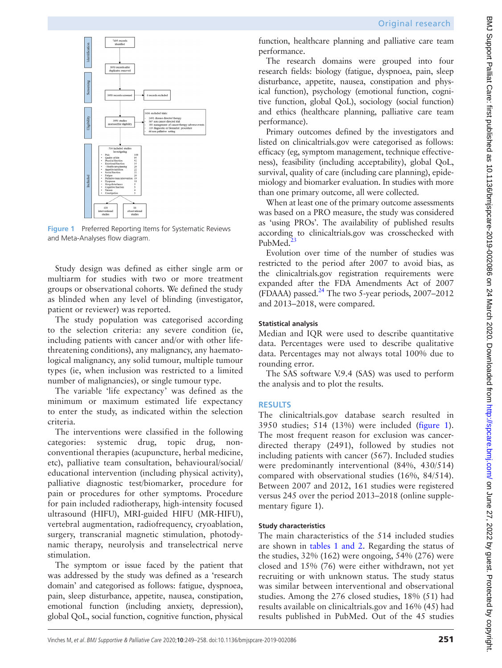

<span id="page-2-0"></span>**Figure 1** Preferred Reporting Items for Systematic Reviews and Meta-Analyses flow diagram.

Study design was defined as either single arm or multiarm for studies with two or more treatment groups or observational cohorts. We defined the study as blinded when any level of blinding (investigator, patient or reviewer) was reported.

The study population was categorised according to the selection criteria: any severe condition (ie, including patients with cancer and/or with other lifethreatening conditions), any malignancy, any haematological malignancy, any solid tumour, multiple tumour types (ie, when inclusion was restricted to a limited number of malignancies), or single tumour type.

The variable 'life expectancy' was defined as the minimum or maximum estimated life expectancy to enter the study, as indicated within the selection criteria.

The interventions were classified in the following categories: systemic drug, topic drug, nonconventional therapies (acupuncture, herbal medicine, etc), palliative team consultation, behavioural/social/ educational intervention (including physical activity), palliative diagnostic test/biomarker, procedure for pain or procedures for other symptoms. Procedure for pain included radiotherapy, high-intensity focused ultrasound (HIFU), MRI-guided HIFU (MR-HIFU), vertebral augmentation, radiofrequency, cryoablation, surgery, transcranial magnetic stimulation, photodynamic therapy, neurolysis and transelectrical nerve stimulation.

The symptom or issue faced by the patient that was addressed by the study was defined as a 'research domain' and categorised as follows: fatigue, dyspnoea, pain, sleep disturbance, appetite, nausea, constipation, emotional function (including anxiety, depression), global QoL, social function, cognitive function, physical

function, healthcare planning and palliative care team performance.

The research domains were grouped into four research fields: biology (fatigue, dyspnoea, pain, sleep disturbance, appetite, nausea, constipation and physical function), psychology (emotional function, cognitive function, global QoL), sociology (social function) and ethics (healthcare planning, palliative care team performance).

Primary outcomes defined by the investigators and listed on clinicaltrials.gov were categorised as follows: efficacy (eg, symptom management, technique effectiveness), feasibility (including acceptability), global QoL, survival, quality of care (including care planning), epidemiology and biomarker evaluation. In studies with more than one primary outcome, all were collected.

When at least one of the primary outcome assessments was based on a PRO measure, the study was considered as 'using PROs'. The availability of published results according to clinicaltrials.gov was crosschecked with PubMed. $^{23}$ 

Evolution over time of the number of studies was restricted to the period after 2007 to avoid bias, as the clinicaltrials.gov registration requirements were expanded after the FDA Amendments Act of 2007 (FDAAA) passed.<sup>24</sup> The two 5-year periods, 2007–2012 and 2013–2018, were compared.

# **Statistical analysis**

Median and IQR were used to describe quantitative data. Percentages were used to describe qualitative data. Percentages may not always total 100% due to rounding error.

The SAS software V.9.4 (SAS) was used to perform the analysis and to plot the results.

# **Results**

The clinicaltrials.gov database search resulted in 3950 studies; 514 (13%) were included ([figure](#page-2-0) 1). The most frequent reason for exclusion was cancerdirected therapy (2491), followed by studies not including patients with cancer (567). Included studies were predominantly interventional (84%, 430/514) compared with observational studies (16%, 84/514). Between 2007 and 2012, 161 studies were registered versus 245 over the period 2013–2018 [\(online supple](https://dx.doi.org/10.1136/bmjspcare-2019-002086)[mentary figure 1](https://dx.doi.org/10.1136/bmjspcare-2019-002086)).

# **Study characteristics**

The main characteristics of the 514 included studies are shown in tables [1 and 2.](#page-3-0) Regarding the status of the studies, 32% (162) were ongoing, 54% (276) were closed and 15% (76) were either withdrawn, not yet recruiting or with unknown status. The study status was similar between interventional and observational studies. Among the 276 closed studies, 18% (51) had results available on clinicaltrials.gov and 16% (45) had results published in PubMed. Out of the 45 studies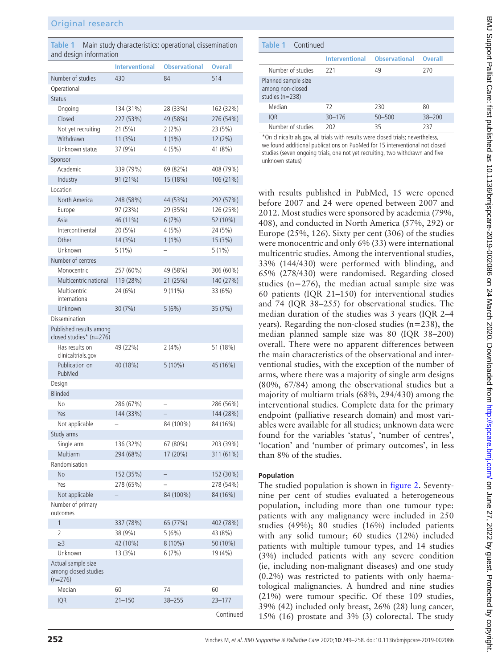<span id="page-3-0"></span>

| Table 1 Main study characteristics: operational, dissemination |
|----------------------------------------------------------------|
| and design information                                         |

|                                                         | <b>Interventional</b> | <b>Observational</b>     | <b>Overall</b> |
|---------------------------------------------------------|-----------------------|--------------------------|----------------|
| Number of studies                                       | 430                   | 84                       | 514            |
| Operational                                             |                       |                          |                |
| <b>Status</b>                                           |                       |                          |                |
| Ongoing                                                 | 134 (31%)             | 28 (33%)                 | 162 (32%)      |
| Closed                                                  | 227 (53%)             | 49 (58%)                 | 276 (54%)      |
| Not yet recruiting                                      | 21 (5%)               | $2(2\%)$                 | 23 (5%)        |
| Withdrawn                                               | 11(3%)                | $1(1\%)$                 | 12(2%)         |
| Unknown status                                          | 37 (9%)               | 4(5%)                    | 41 (8%)        |
| Sponsor                                                 |                       |                          |                |
| Academic                                                | 339 (79%)             | 69 (82%)                 | 408 (79%)      |
| Industry                                                | 91 (21%)              | 15 (18%)                 | 106 (21%)      |
| Location                                                |                       |                          |                |
| North America                                           | 248 (58%)             | 44 (53%)                 | 292 (57%)      |
| Europe                                                  | 97 (23%)              | 29 (35%)                 | 126 (25%)      |
| Asia                                                    | 46 (11%)              | 6(7%)                    | 52 (10%)       |
| Intercontinental                                        | 20 (5%)               | 4(5%)                    | 24 (5%)        |
| Other                                                   | 14 (3%)               | $1(1\%)$                 | 15(3%)         |
| Unknown                                                 | $5(1\%)$              |                          | $5(1\%)$       |
| Number of centres                                       |                       |                          |                |
| Monocentric                                             | 257 (60%)             | 49 (58%)                 | 306 (60%)      |
| Multicentric national                                   | 119 (28%)             | 21 (25%)                 | 140 (27%)      |
| Multicentric<br>international                           | 24 (6%)               | $9(11\%)$                | 33 (6%)        |
| Unknown                                                 | 30 (7%)               | 5(6%)                    | 35 (7%)        |
| <b>Dissemination</b>                                    |                       |                          |                |
| Published results among<br>closed studies* (n=276)      |                       |                          |                |
| Has results on<br>clinicaltrials.gov                    | 49 (22%)              | 2(4%)                    | 51 (18%)       |
| Publication on<br>PubMed                                | 40 (18%)              | $5(10\%)$                | 45 (16%)       |
| Design                                                  |                       |                          |                |
| <b>Blinded</b>                                          |                       |                          |                |
| No                                                      | 286 (67%)             |                          | 286 (56%)      |
| Yes                                                     | 144 (33%)             |                          | 144 (28%)      |
| Not applicable                                          |                       | 84 (100%)                | 84 (16%)       |
| Study arms                                              |                       |                          |                |
| Single arm                                              | 136 (32%)             | 67 (80%)                 | 203 (39%)      |
| Multiarm                                                | 294 (68%)             | 17 (20%)                 | 311 (61%)      |
| Randomisation                                           |                       |                          |                |
| No                                                      | 152 (35%)             | $\overline{\phantom{0}}$ | 152 (30%)      |
| Yes                                                     | 278 (65%)             |                          | 278 (54%)      |
| Not applicable                                          |                       | 84 (100%)                | 84 (16%)       |
| Number of primary<br>outcomes                           |                       |                          |                |
| 1                                                       | 337 (78%)             | 65 (77%)                 | 402 (78%)      |
| 2                                                       | 38 (9%)               | 5(6%)                    | 43 (8%)        |
| $\geq$ 3                                                | 42 (10%)              | $8(10\%)$                | 50 (10%)       |
| Unknown                                                 | 13 (3%)               | 6(7%)                    | 19 (4%)        |
| Actual sample size<br>among closed studies<br>$(n=276)$ |                       |                          |                |
| Median                                                  | 60                    | 74                       | 60             |
| <b>IQR</b>                                              | $21 - 150$            | $38 - 255$               | 23-177         |
|                                                         |                       |                          | Continued      |

| <b>ble 1</b> Continued                                                                                                                                                                                                                                        |                       |                      |                |  |  |
|---------------------------------------------------------------------------------------------------------------------------------------------------------------------------------------------------------------------------------------------------------------|-----------------------|----------------------|----------------|--|--|
|                                                                                                                                                                                                                                                               | <b>Interventional</b> | <b>Observational</b> | <b>Overall</b> |  |  |
| Number of studies                                                                                                                                                                                                                                             | 221                   | 49                   | 270            |  |  |
| inned sample size<br>ong non-closed<br>dies (n=238)                                                                                                                                                                                                           |                       |                      |                |  |  |
| Median                                                                                                                                                                                                                                                        | 72                    | 230                  | 80             |  |  |
| <b>IQR</b>                                                                                                                                                                                                                                                    | $30 - 176$            | $50 - 500$           | $38 - 200$     |  |  |
| Number of studies                                                                                                                                                                                                                                             | 202                   | 35                   | 237            |  |  |
| n clinicaltrials.gov, all trials with results were closed trials; nevertheless,<br>found additional publications on PubMed for 15 interventional not closed<br>لمنتئة امتعتم لمستمع المطافئين لمتنازل والمتناسخ والمتحدث والمتحال والمتناقص والمستمر والمتالي |                       |                      |                |  |  |

 $*$ On clinica we found a studies (seven ongoing trials, one not yet recruiting, two withdrawn and five unknown status)

with results published in PubMed, 15 were opened before 2007 and 24 were opened between 2007 and 2012. Most studies were sponsored by academia (79%, 408), and conducted in North America (57%, 292) or Europe (25%, 126). Sixty per cent (306) of the studies were monocentric and only 6% (33) were international multicentric studies. Among the interventional studies, 33% (144/430) were performed with blinding, and 65% (278/430) were randomised. Regarding closed studies (n=276), the median actual sample size was 60 patients (IQR 21–150) for interventional studies and 74 (IQR 38–255) for observational studies. The median duration of the studies was 3 years (IQR 2–4 years). Regarding the non-closed studies  $(n=238)$ , the median planned sample size was 80 (IQR 38–200) overall. There were no apparent differences between the main characteristics of the observational and interventional studies, with the exception of the number of arms, where there was a majority of single arm designs (80%, 67/84) among the observational studies but a majority of multiarm trials (68%, 294/430) among the interventional studies. Complete data for the primary endpoint (palliative research domain) and most variables were available for all studies; unknown data were found for the variables 'status', 'number of centres', 'location' and 'number of primary outcomes', in less than 8% of the studies.

# **Population**

Number Planned sa among non studies (n=

**Table 1** 

The studied population is shown in [figure](#page-5-0) 2. Seventynine per cent of studies evaluated a heterogeneous population, including more than one tumour type: patients with any malignancy were included in 250 studies (49%); 80 studies (16%) included patients with any solid tumour; 60 studies (12%) included patients with multiple tumour types, and 14 studies (3%) included patients with any severe condition (ie, including non-malignant diseases) and one study (0.2%) was restricted to patients with only haematological malignancies. A hundred and nine studies (21%) were tumour specific. Of these 109 studies, 39% (42) included only breast, 26% (28) lung cancer, 15% (16) prostate and 3% (3) colorectal. The study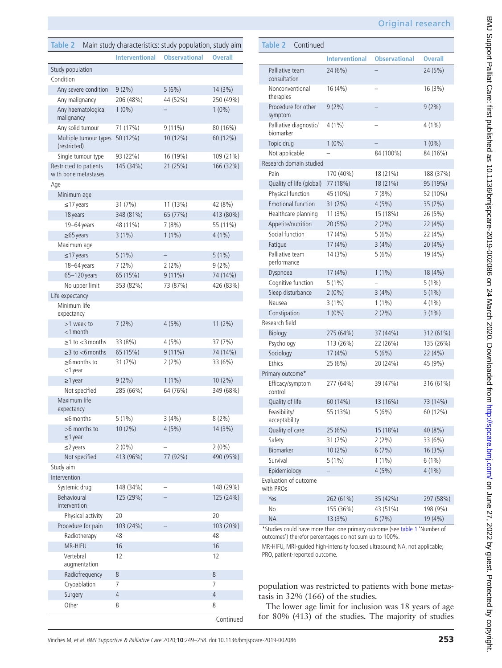| Table 2                                        |                       | Main study characteristics: study population, study aim |                      |
|------------------------------------------------|-----------------------|---------------------------------------------------------|----------------------|
|                                                | <b>Interventional</b> | <b>Observational</b>                                    | <b>Overall</b>       |
| Study population                               |                       |                                                         |                      |
| Condition                                      |                       |                                                         |                      |
| Any severe condition                           | $9(2\%)$              | 5(6%)                                                   | 14 (3%)              |
| Any malignancy                                 | 206 (48%)             | 44 (52%)                                                | 250 (49%)            |
| Any haematological                             | $1(0\%)$              |                                                         | $1(0\%)$             |
| malignancy                                     | 71 (17%)              |                                                         |                      |
| Any solid tumour<br>Multiple tumour types      | 50 (12%)              | 9 (11%)<br>10 (12%)                                     | 80 (16%)<br>60 (12%) |
| (restricted)                                   |                       |                                                         |                      |
| Single tumour type                             | 93 (22%)              | 16 (19%)                                                | 109 (21%)            |
| Restricted to patients<br>with bone metastases | 145 (34%)             | 21 (25%)                                                | 166 (32%)            |
| Age                                            |                       |                                                         |                      |
| Minimum age                                    |                       |                                                         |                      |
| $\leq$ 17 years                                | 31(7%)                | 11 (13%)                                                | 42 (8%)              |
| 18 years                                       | 348 (81%)             | 65 (77%)                                                | 413 (80%)            |
| 19-64 years                                    | 48 (11%)              | 7(8%)                                                   | 55 (11%)             |
| $\geq 65$ years                                | $3(1\%)$              | $1(1\%)$                                                | $4(1\%)$             |
| Maximum age                                    |                       |                                                         |                      |
| $\leq$ 17 years                                | 5(1%)                 |                                                         | 5(1%)                |
| 18-64 years                                    | 7(2%)                 | $2(2\%)$                                                | $9(2\%)$             |
| $65 - 120$ years                               | 65 (15%)              | $9(11\%)$                                               | 74 (14%)             |
| No upper limit                                 | 353 (82%)             | 73 (87%)                                                | 426 (83%)            |
| Life expectancy                                |                       |                                                         |                      |
| Minimum life<br>expectancy                     |                       |                                                         |                      |
| >1 week to<br>$<$ 1 month                      | 7 (2%)                | 4(5%)                                                   | $11(2\%)$            |
| $\geq$ 1 to $<$ 3 months                       | 33 (8%)               | 4(5%)                                                   | 37 (7%)              |
| $\geq$ 3 to $\lt$ 6 months                     | 65 (15%)              | $9(11\%)$                                               | 74 (14%)             |
| $\geq$ 6 months to<br>$<$ 1 year               | 31(7%)                | $2(2\%)$                                                | 33 (6%)              |
| $\geq$ 1 year                                  | $9(2\%)$              | $1(1\%)$                                                | $10(2\%)$            |
| Not specified                                  | 285 (66%)             | 64 (76%)                                                | 349 (68%)            |
| Maximum life<br>expectancy                     |                       |                                                         |                      |
| $\leq$ 6 months                                | 5(1%)                 | 3(4%)                                                   | 8(2%)                |
| >6 months to<br>$\leq$ 1 year                  | $10(2\%)$             | 4(5%)                                                   | 14 (3%)              |
| $\leq$ 2 years                                 | $2(0\%)$              |                                                         | $2(0\%)$             |
| Not specified                                  | 413 (96%)             | 77 (92%)                                                | 490 (95%)            |
| Study aim                                      |                       |                                                         |                      |
| Intervention                                   |                       |                                                         |                      |
| Systemic drug                                  | 148 (34%)             |                                                         | 148 (29%)            |
| Behavioural                                    | 125 (29%)             |                                                         | 125 (24%)            |
| intervention                                   | 20                    |                                                         | 20                   |
| Physical activity<br>Procedure for pain        | 103 (24%)             |                                                         | 103 (20%)            |
| Radiotherapy                                   | 48                    |                                                         | 48                   |
| MR-HIFU                                        | 16                    |                                                         | 16                   |
| Vertebral                                      | 12                    |                                                         | 12                   |
| augmentation                                   |                       |                                                         |                      |
| Radiofrequency                                 | 8                     |                                                         | 8                    |
| Cryoablation                                   | 7                     |                                                         | 7                    |
| Surgery                                        | 4                     |                                                         | 4                    |
| Other                                          | 8                     |                                                         | 8                    |

| Table 2<br>Continued                                                      |                       |                      |                |  |
|---------------------------------------------------------------------------|-----------------------|----------------------|----------------|--|
|                                                                           | <b>Interventional</b> | <b>Observational</b> | <b>Overall</b> |  |
| Palliative team<br>consultation                                           | 24 (6%)               |                      | 24 (5%)        |  |
| Nonconventional<br>therapies                                              | 16 (4%)               |                      | 16 (3%)        |  |
| Procedure for other<br>symptom                                            | $9(2\%)$              |                      | $9(2\%)$       |  |
| Palliative diagnostic/<br>biomarker                                       | $4(1\%)$              |                      | $4(1\%)$       |  |
| Topic drug                                                                | $1(0\%)$              |                      | $1(0\%)$       |  |
| Not applicable                                                            |                       | 84 (100%)            | 84 (16%)       |  |
| Research domain studied                                                   |                       |                      |                |  |
| Pain                                                                      | 170 (40%)             | 18 (21%)             | 188 (37%)      |  |
| Quality of life (global)                                                  | 77 (18%)              | 18 (21%)             | 95 (19%)       |  |
| Physical function                                                         | 45 (10%)              | 7(8%)                | 52 (10%)       |  |
| <b>Emotional function</b>                                                 | 31 (7%)               | 4(5%)                | 35 (7%)        |  |
| Healthcare planning                                                       | 11(3%)                | 15 (18%)             | 26 (5%)        |  |
| Appetite/nutrition                                                        | 20 (5%)               | $2(2\%)$             | 22 (4%)        |  |
| Social function                                                           | 17 (4%)               | 5(6%)                | 22 (4%)        |  |
| Fatigue                                                                   | 17(4%                 | 3(4%)                | 20 (4%)        |  |
| Palliative team<br>performance                                            | 14 (3%)               | 5(6%)                | 19 (4%)        |  |
| Dyspnoea                                                                  | 17 (4%)               | $1(1\%)$             | 18 (4%)        |  |
| Cognitive function                                                        | 5 (1%)                |                      | $5(1\%)$       |  |
| Sleep disturbance                                                         | 2(0%)                 | 3(4%)                | 5(1%)          |  |
| Nausea                                                                    | $3(1\%)$              | $1(1\%)$             | 4 (1%)         |  |
| Constipation                                                              | $1(0\%)$              | 2(2%)                | 3(1%)          |  |
| Research field                                                            |                       |                      |                |  |
| Biology                                                                   | 275 (64%)             | 37 (44%)             | 312 (61%)      |  |
| Psychology                                                                | 113 (26%)             | 22 (26%)             | 135 (26%)      |  |
| Sociology                                                                 | 17(4%                 | 5(6%)                | 22 (4%)        |  |
| Ethics                                                                    | 25 (6%)               | 20 (24%)             | 45 (9%)        |  |
| Primary outcome*                                                          |                       |                      |                |  |
| Efficacy/symptom<br>control                                               | 277 (64%)             | 39 (47%)             | 316 (61%)      |  |
| Quality of life                                                           | 60 (14%)              | 13 (16%)             | 73 (14%)       |  |
| Feasibility/<br>acceptability                                             | 55 (13%)              | 5 (6%)               | 60 (12%)       |  |
| Quality of care                                                           | 25 (6%)               | 15 (18%)             | 40 (8%)        |  |
| Safety                                                                    | 31 (7%)               | $2(2\%)$             | 33 (6%)        |  |
| Biomarker                                                                 | $10(2\%)$             | 6(7%)                | 16(3%)         |  |
| Survival                                                                  | 5(1%)                 | $1(1\%)$             | 6 (1%)         |  |
| Epidemiology                                                              |                       | 4(5%)                | $4(1\%)$       |  |
| Evaluation of outcome<br>with PROs                                        |                       |                      |                |  |
| Yes                                                                       | 262 (61%)             | 35 (42%)             | 297 (58%)      |  |
| No                                                                        | 155 (36%)             | 43 (51%)             | 198 (9%)       |  |
| ΝA                                                                        | 13 (3%)               | 6(7%)                | 19 (4%)        |  |
| *Studies could have more than one primary outcome (see table 1 'Number of |                       |                      |                |  |

outcomes') therefor percentages do not sum up to 100%.

MR-HIFU, MRI-guided high-intensity focused ultrasound; NA, not applicable; PRO, patient-reported outcome.

population was restricted to patients with bone metastasis in 32% (166) of the studies.

The lower age limit for inclusion was 18 years of age for 80% (413) of the studies. The majority of studies

Continued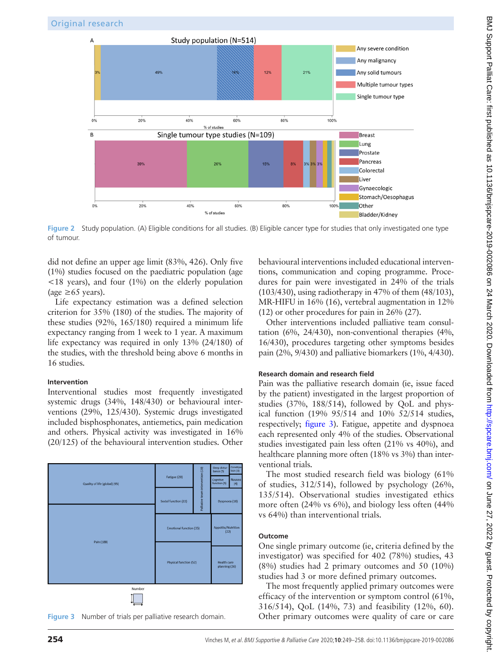

<span id="page-5-0"></span>**Figure 2** Study population. (A) Eligible conditions for all studies. (B) Eligible cancer type for studies that only investigated one type of tumour.

did not define an upper age limit (83%, 426). Only five (1%) studies focused on the paediatric population (age <18 years), and four (1%) on the elderly population (age  $\geq 65$  years).

Life expectancy estimation was a defined selection criterion for 35% (180) of the studies. The majority of these studies (92%, 165/180) required a minimum life expectancy ranging from 1 week to 1 year. A maximum life expectancy was required in only 13% (24/180) of the studies, with the threshold being above 6 months in 16 studies.

### **Intervention**

Interventional studies most frequently investigated systemic drugs (34%, 148/430) or behavioural interventions (29%, 125/430). Systemic drugs investigated included bisphosphonates, antiemetics, pain medication and others. Physical activity was investigated in 16% (20/125) of the behavioural intervention studies. Other



<span id="page-5-1"></span>**Figure 3** Number of trials per palliative research domain.

behavioural interventions included educational interventions, communication and coping programme. Procedures for pain were investigated in 24% of the trials (103/430), using radiotherapy in 47% of them (48/103), MR-HIFU in 16% (16), vertebral augmentation in 12% (12) or other procedures for pain in 26% (27).

Other interventions included palliative team consultation (6%, 24/430), non-conventional therapies (4%, 16/430), procedures targeting other symptoms besides pain (2%, 9/430) and palliative biomarkers (1%, 4/430).

# **Research domain and research field**

Pain was the palliative research domain (ie, issue faced by the patient) investigated in the largest proportion of studies (37%, 188/514), followed by QoL and physical function (19% 95/514 and 10% 52/514 studies, respectively; [figure](#page-5-1) 3). Fatigue, appetite and dyspnoea each represented only 4% of the studies. Observational studies investigated pain less often (21% vs 40%), and healthcare planning more often (18% vs 3%) than interventional trials.

The most studied research field was biology (61% of studies, 312/514), followed by psychology (26%, 135/514). Observational studies investigated ethics more often (24% vs 6%), and biology less often (44%) vs 64%) than interventional trials.

# **Outcome**

One single primary outcome (ie, criteria defined by the investigator) was specified for 402 (78%) studies, 43 (8%) studies had 2 primary outcomes and 50 (10%) studies had 3 or more defined primary outcomes.

The most frequently applied primary outcomes were efficacy of the intervention or symptom control (61%, 316/514), QoL (14%, 73) and feasibility (12%, 60). Other primary outcomes were quality of care or care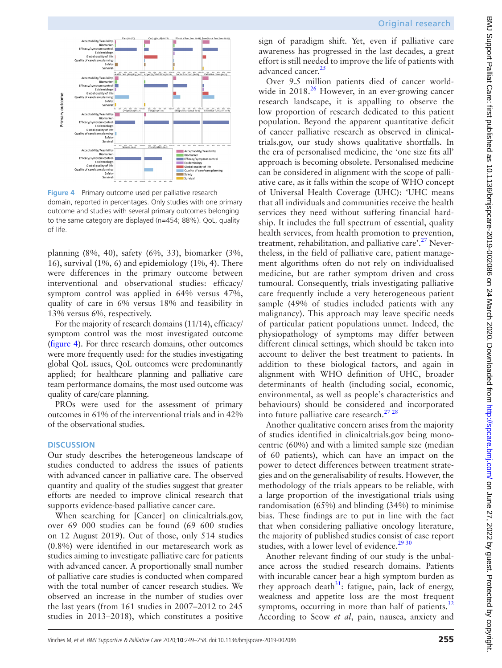

<span id="page-6-0"></span>**Figure 4** Primary outcome used per palliative research domain, reported in percentages. Only studies with one primary outcome and studies with several primary outcomes belonging to the same category are displayed (n=454; 88%). QoL, quality of life.

planning (8%, 40), safety (6%, 33), biomarker (3%, 16), survival (1%, 6) and epidemiology (1%, 4). There were differences in the primary outcome between interventional and observational studies: efficacy/ symptom control was applied in 64% versus 47%, quality of care in 6% versus 18% and feasibility in 13% versus 6%, respectively.

For the majority of research domains (11/14), efficacy/ symptom control was the most investigated outcome ([figure](#page-6-0) 4). For three research domains, other outcomes were more frequently used: for the studies investigating global QoL issues, QoL outcomes were predominantly applied; for healthcare planning and palliative care team performance domains, the most used outcome was quality of care/care planning.

PROs were used for the assessment of primary outcomes in 61% of the interventional trials and in 42% of the observational studies.

#### **Discussion**

Our study describes the heterogeneous landscape of studies conducted to address the issues of patients with advanced cancer in palliative care. The observed quantity and quality of the studies suggest that greater efforts are needed to improve clinical research that supports evidence-based palliative cancer care.

When searching for [Cancer] on clinicaltrials.gov, over 69 000 studies can be found (69 600 studies on 12 August 2019). Out of those, only 514 studies (0.8%) were identified in our metaresearch work as studies aiming to investigate palliative care for patients with advanced cancer. A proportionally small number of palliative care studies is conducted when compared with the total number of cancer research studies. We observed an increase in the number of studies over the last years (from 161 studies in 2007–2012 to 245 studies in 2013–2018), which constitutes a positive

sign of paradigm shift. Yet, even if palliative care awareness has progressed in the last decades, a great effort is still needed to improve the life of patients with advanced cancer.<sup>[25](#page-8-19)</sup>

Over 9.5 million patients died of cancer worldwide in  $2018<sup>26</sup>$  However, in an ever-growing cancer research landscape, it is appalling to observe the low proportion of research dedicated to this patient population. Beyond the apparent quantitative deficit of cancer palliative research as observed in clinicaltrials.gov, our study shows qualitative shortfalls. In the era of personalised medicine, the 'one size fits all' approach is becoming obsolete. Personalised medicine can be considered in alignment with the scope of palliative care, as it falls within the scope of WHO concept of Universal Health Coverage (UHC): 'UHC means that all individuals and communities receive the health services they need without suffering financial hardship. It includes the full spectrum of essential, quality health services, from health promotion to prevention, treatment, rehabilitation, and palliative care'. $27$  Nevertheless, in the field of palliative care, patient management algorithms often do not rely on individualised medicine, but are rather symptom driven and cross tumoural. Consequently, trials investigating palliative care frequently include a very heterogeneous patient sample (49% of studies included patients with any malignancy). This approach may leave specific needs of particular patient populations unmet. Indeed, the physiopathology of symptoms may differ between different clinical settings, which should be taken into account to deliver the best treatment to patients. In addition to these biological factors, and again in alignment with WHO definition of UHC, broader determinants of health (including social, economic, environmental, as well as people's characteristics and behaviours) should be considered and incorporated into future palliative care research.<sup>27</sup> 28

Another qualitative concern arises from the majority of studies identified in clinicaltrials.gov being monocentric (60%) and with a limited sample size (median of 60 patients), which can have an impact on the power to detect differences between treatment strategies and on the generalisability of results. However, the methodology of the trials appears to be reliable, with a large proportion of the investigational trials using randomisation (65%) and blinding (34%) to minimise bias. These findings are to put in line with the fact that when considering palliative oncology literature, the majority of published studies consist of case report studies, with a lower level of evidence.<sup>29 30</sup>

Another relevant finding of our study is the unbalance across the studied research domains. Patients with incurable cancer bear a high symptom burden as they approach death $31$ : fatigue, pain, lack of energy, weakness and appetite loss are the most frequent symptoms, occurring in more than half of patients. $32$ According to Seow *et al*, pain, nausea, anxiety and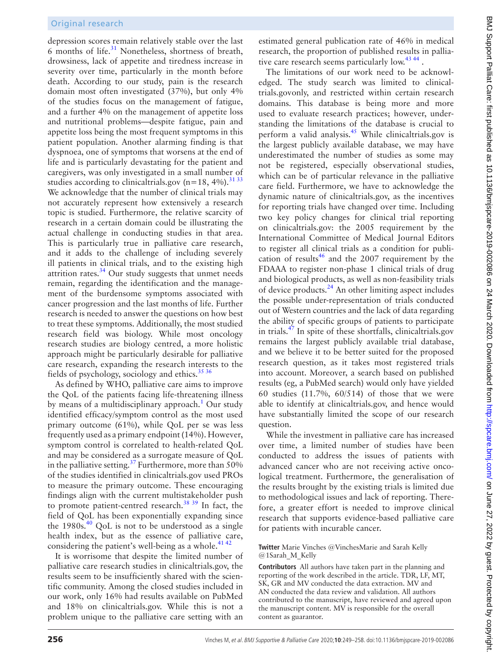depression scores remain relatively stable over the last 6 months of life[.31](#page-8-23) Nonetheless, shortness of breath, drowsiness, lack of appetite and tiredness increase in severity over time, particularly in the month before death. According to our study, pain is the research domain most often investigated (37%), but only 4% of the studies focus on the management of fatigue, and a further 4% on the management of appetite loss and nutritional problems—despite fatigue, pain and appetite loss being the most frequent symptoms in this patient population. Another alarming finding is that dyspnoea, one of symptoms that worsens at the end of life and is particularly devastating for the patient and caregivers, was only investigated in a small number of studies according to clinicaltrials.gov ( $n=18$ , 4%).<sup>[31 33](#page-8-23)</sup> We acknowledge that the number of clinical trials may not accurately represent how extensively a research topic is studied. Furthermore, the relative scarcity of research in a certain domain could be illustrating the actual challenge in conducting studies in that area. This is particularly true in palliative care research, and it adds to the challenge of including severely ill patients in clinical trials, and to the existing high attrition rates. $34$  Our study suggests that unmet needs remain, regarding the identification and the management of the burdensome symptoms associated with cancer progression and the last months of life. Further research is needed to answer the questions on how best to treat these symptoms. Additionally, the most studied research field was biology. While most oncology research studies are biology centred, a more holistic approach might be particularly desirable for palliative care research, expanding the research interests to the fields of psychology, sociology and ethics. $3536$ 

As defined by WHO, palliative care aims to improve the QoL of the patients facing life-threatening illness by means of a multidisciplinary approach.<sup>[1](#page-8-0)</sup> Our study identified efficacy/symptom control as the most used primary outcome (61%), while QoL per se was less frequently used as a primary endpoint (14%). However, symptom control is correlated to health-related QoL and may be considered as a surrogate measure of QoL in the palliative setting.<sup>37</sup> Furthermore, more than  $50\%$ of the studies identified in clinicaltrials.gov used PROs to measure the primary outcome. These encouraging findings align with the current multistakeholder push to promote patient-centred research. $38\,39$  In fact, the field of QoL has been exponentially expanding since the  $1980s<sup>40</sup>$  QoL is not to be understood as a single health index, but as the essence of palliative care, considering the patient's well-being as a whole. $41.42$ 

It is worrisome that despite the limited number of palliative care research studies in clinicaltrials.gov, the results seem to be insufficiently shared with the scientific community. Among the closed studies included in our work, only 16% had results available on PubMed and 18% on clinicaltrials.gov. While this is not a problem unique to the palliative care setting with an

estimated general publication rate of 46% in medical research, the proportion of published results in palliative care research seems particularly low.<sup>43 44</sup>.

The limitations of our work need to be acknowledged. The study search was limited to clinicaltrials.govonly, and restricted within certain research domains. This database is being more and more used to evaluate research practices; however, understanding the limitations of the database is crucial to perform a valid analysis.[45](#page-9-5) While clinicaltrials.gov is the largest publicly available database, we may have underestimated the number of studies as some may not be registered, especially observational studies, which can be of particular relevance in the palliative care field. Furthermore, we have to acknowledge the dynamic nature of clinicaltrials.gov, as the incentives for reporting trials have changed over time. Including two key policy changes for clinical trial reporting on clinicaltrials.gov: the 2005 requirement by the International Committee of Medical Journal Editors to register all clinical trials as a condition for publication of results<sup>46</sup> and the 2007 requirement by the FDAAA to register non-phase 1 clinical trials of drug and biological products, as well as non-feasibility trials of device products. $^{24}$  An other limiting aspect includes the possible under-representation of trials conducted out of Western countries and the lack of data regarding the ability of specific groups of patients to participate in trials[.47](#page-9-7) In spite of these shortfalls, clinicaltrials.gov remains the largest publicly available trial database, and we believe it to be better suited for the proposed research question, as it takes most registered trials into account. Moreover, a search based on published results (eg, a PubMed search) would only have yielded 60 studies (11.7%, 60/514) of those that we were able to identify at clinicaltrials.gov, and hence would have substantially limited the scope of our research question.

While the investment in palliative care has increased over time, a limited number of studies have been conducted to address the issues of patients with advanced cancer who are not receiving active oncological treatment. Furthermore, the generalisation of the results brought by the existing trials is limited due to methodological issues and lack of reporting. Therefore, a greater effort is needed to improve clinical research that supports evidence-based palliative care for patients with incurable cancer.

#### **Twitter** Marie Vinches [@VinchesMarie](https://twitter.com/VinchesMarie) and Sarah Kelly [@1Sarah\\_M\\_Kelly](https://twitter.com/1Sarah_M_Kelly)

**Contributors** All authors have taken part in the planning and reporting of the work described in the article. TDR, LF, MT, SK, GR and MV conducted the data extraction. MV and AN conducted the data review and validation. All authors contributed to the manuscript, have reviewed and agreed upon the manuscript content. MV is responsible for the overall content as guarantor.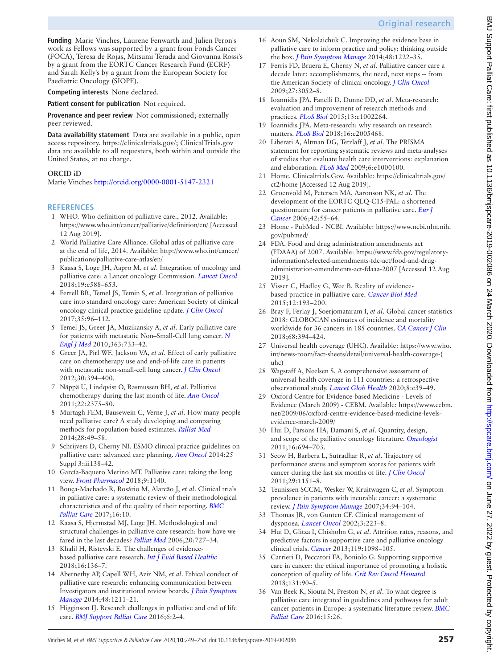**Funding** Marie Vinches, Laurene Fenwarth and Julien Peron's work as Fellows was supported by a grant from Fonds Cancer (FOCA), Teresa de Rojas, Mitsumi Terada and Giovanna Rossi's by a grant from the EORTC Cancer Research Fund (ECRF) and Sarah Kelly's by a grant from the European Society for Paediatric Oncology (SIOPE).

**Competing interests** None declared.

**Patient consent for publication** Not required.

**Provenance and peer review** Not commissioned; externally peer reviewed.

**Data availability statement** Data are available in a public, open access repository. [https://clinicaltrials.gov/;](https://clinicaltrials.gov/) ClinicalTrials.gov data are available to all requesters, both within and outside the United States, at no charge.

### **ORCID iD**

Marie Vinches <http://orcid.org/0000-0001-5147-2321>

### **References**

- <span id="page-8-0"></span>1 WHO. Who definition of palliative care., 2012. Available: <https://www.who.int/cancer/palliative/definition/en/> [Accessed 12 Aug 2019].
- <span id="page-8-1"></span>2 World Palliative Care Alliance. Global atlas of palliative care at the end of life, 2014. Available: [http://www.who.int/cancer/](http://www.who.int/cancer/publications/palliative-care-atlas/en/) [publications/palliative-care-atlas/en/](http://www.who.int/cancer/publications/palliative-care-atlas/en/)
- <span id="page-8-2"></span>3 Kaasa S, Loge JH, Aapro M, *et al*. Integration of oncology and palliative care: a Lancet oncology Commission. *[Lancet Oncol](http://dx.doi.org/10.1016/S1470-2045(18)30415-7)* 2018;19:e588–653.
- <span id="page-8-3"></span>4 Ferrell BR, Temel JS, Temin S, *et al*. Integration of palliative care into standard oncology care: American Society of clinical oncology clinical practice guideline update. *[J Clin Oncol](http://dx.doi.org/10.1200/JCO.2016.70.1474)* 2017;35:96–112.
- 5 Temel JS, Greer JA, Muzikansky A, *et al*. Early palliative care for patients with metastatic Non–Small-Cell lung cancer. *[N](http://dx.doi.org/10.1056/NEJMoa1000678)  [Engl J Med](http://dx.doi.org/10.1056/NEJMoa1000678)* 2010;363:733–42.
- <span id="page-8-4"></span>6 Greer JA, Pirl WF, Jackson VA, *et al*. Effect of early palliative care on chemotherapy use and end-of-life care in patients with metastatic non-small-cell lung cancer. *[J Clin Oncol](http://dx.doi.org/10.1200/JCO.2011.35.7996)* 2012;30:394–400.
- 7 Näppä U, Lindqvist O, Rasmussen BH, *et al*. Palliative chemotherapy during the last month of life. *[Ann Oncol](http://dx.doi.org/10.1093/annonc/mdq778)* 2011;22:2375–80.
- <span id="page-8-5"></span>8 Murtagh FEM, Bausewein C, Verne J, *et al*. How many people need palliative care? A study developing and comparing methods for population-based estimates. *[Palliat Med](http://dx.doi.org/10.1177/0269216313489367)* 2014;28:49–58.
- <span id="page-8-6"></span>9 Schrijvers D, Cherny NI. ESMO clinical practice guidelines on palliative care: advanced care planning. *[Ann Oncol](http://dx.doi.org/10.1093/annonc/mdu241)* 2014;25 Suppl 3:iii138–42.
- 10 García-Baquero Merino MT. Palliative care: taking the long view. *[Front Pharmacol](http://dx.doi.org/10.3389/fphar.2018.01140)* 2018;9:1140.
- <span id="page-8-7"></span>11 Bouça-Machado R, Rosário M, Alarcão J, *et al*. Clinical trials in palliative care: a systematic review of their methodological characteristics and of the quality of their reporting. *[BMC](http://dx.doi.org/10.1186/s12904-016-0181-9)  [Palliat Care](http://dx.doi.org/10.1186/s12904-016-0181-9)* 2017;16:10.
- 12 Kaasa S, Hjermstad MJ, Loge JH. Methodological and structural challenges in palliative care research: how have we fared in the last decades? *[Palliat Med](http://dx.doi.org/10.1177/0269216306072620)* 2006;20:727–34.
- <span id="page-8-8"></span>13 Khalil H, Ristevski E. The challenges of evidencebased palliative care research. *[Int J Evid Based Healthc](http://dx.doi.org/10.1097/XEB.0000000000000153)* 2018;16:136–7.
- <span id="page-8-9"></span>14 Abernethy AP, Capell WH, Aziz NM, *et al*. Ethical conduct of palliative care research: enhancing communication between Investigators and institutional review boards. *[J Pain Symptom](http://dx.doi.org/10.1016/j.jpainsymman.2014.05.005)  [Manage](http://dx.doi.org/10.1016/j.jpainsymman.2014.05.005)* 2014;48:1211–21.
- <span id="page-8-10"></span>15 Higginson IJ. Research challenges in palliative and end of life care. *[BMJ Support Palliat Care](http://dx.doi.org/10.1136/bmjspcare-2015-001091)* 2016;6:2–4.
- <span id="page-8-11"></span>16 Aoun SM, Nekolaichuk C. Improving the evidence base in palliative care to inform practice and policy: thinking outside the box. *[J Pain Symptom Manage](http://dx.doi.org/10.1016/j.jpainsymman.2014.01.007)* 2014;48:1222–35.
- <span id="page-8-12"></span>17 Ferris FD, Bruera E, Cherny N, *et al*. Palliative cancer care a decade later: accomplishments, the need, next steps -- from the American Society of clinical oncology. *[J Clin Oncol](http://dx.doi.org/10.1200/JCO.2008.20.1558)* 2009;27:3052–8.
- <span id="page-8-13"></span>18 Ioannidis JPA, Fanelli D, Dunne DD, *et al*. Meta-research: evaluation and improvement of research methods and practices. *[PLoS Biol](http://dx.doi.org/10.1371/journal.pbio.1002264)* 2015;13:e1002264.
- 19 Ioannidis JPA. Meta-research: why research on research matters. *[PLoS Biol](http://dx.doi.org/10.1371/journal.pbio.2005468)* 2018;16:e2005468.
- <span id="page-8-14"></span>20 Liberati A, Altman DG, Tetzlaff J, *et al*. The PRISMA statement for reporting systematic reviews and meta-analyses of studies that evaluate health care interventions: explanation and elaboration. *[PLoS Med](http://dx.doi.org/10.1371/journal.pmed.1000100)* 2009;6:e1000100.
- <span id="page-8-15"></span>21 Home. Clinicaltrials.Gov. Available: [https://clinicaltrials.gov/](https://clinicaltrials.gov/ct2/home) [ct2/home](https://clinicaltrials.gov/ct2/home) [Accessed 12 Aug 2019].
- <span id="page-8-16"></span>22 Groenvold M, Petersen MA, Aaronson NK, *et al*. The development of the EORTC QLQ-C15-PAL: a shortened questionnaire for cancer patients in palliative care. *[Eur J](http://dx.doi.org/10.1016/j.ejca.2005.06.022)  [Cancer](http://dx.doi.org/10.1016/j.ejca.2005.06.022)* 2006;42:55–64.
- <span id="page-8-17"></span>23 Home - PubMed - NCBI. Available: [https://www.ncbi.nlm.nih.](https://www.ncbi.nlm.nih.gov/pubmed/) [gov/pubmed/](https://www.ncbi.nlm.nih.gov/pubmed/)
- <span id="page-8-18"></span>24 FDA. Food and drug administration amendments act (FDAAA) of 2007. Available: [https://www.fda.gov/regulatory](https://www.fda.gov/regulatory-information/selected-amendments-fdc-act/food-and-drug-administration-amendments-act-fdaaa-2007)[information/selected-amendments-fdc-act/food-and-drug](https://www.fda.gov/regulatory-information/selected-amendments-fdc-act/food-and-drug-administration-amendments-act-fdaaa-2007)[administration-amendments-act-fdaaa-2007](https://www.fda.gov/regulatory-information/selected-amendments-fdc-act/food-and-drug-administration-amendments-act-fdaaa-2007) [Accessed 12 Aug 2019].
- <span id="page-8-19"></span>25 Visser C, Hadley G, Wee B. Reality of evidencebased practice in palliative care. *[Cancer Biol Med](http://dx.doi.org/10.7497/j.issn.2095-3941.2015.0041)* 2015;12:193–200.
- <span id="page-8-20"></span>26 Bray F, Ferlay J, Soerjomataram I, *et al*. Global cancer statistics 2018: GLOBOCAN estimates of incidence and mortality worldwide for 36 cancers in 185 countries. *[CA Cancer J Clin](http://dx.doi.org/10.3322/caac.21492)* 2018;68:394–424.
- <span id="page-8-21"></span>27 Universal health coverage (UHC). Available: [https://www.who.](https://www.who.int/news-room/fact-sheets/detail/universal-health-coverage-(uhc)) [int/news-room/fact-sheets/detail/universal-health-coverage-\(](https://www.who.int/news-room/fact-sheets/detail/universal-health-coverage-(uhc)) [uhc\)](https://www.who.int/news-room/fact-sheets/detail/universal-health-coverage-(uhc))
- 28 Wagstaff A, Neelsen S. A comprehensive assessment of universal health coverage in 111 countries: a retrospective observational study. *[Lancet Glob Health](http://dx.doi.org/10.1016/S2214-109X(19)30463-2)* 2020;8:e39–49.
- <span id="page-8-22"></span>29 Oxford Centre for Evidence-based Medicine - Levels of Evidence (March 2009) - CEBM. Available: [https://www.cebm.](https://www.cebm.net/2009/06/oxford-centre-evidence-based-medicine-levels-evidence-march-2009/) [net/2009/06/oxford-centre-evidence-based-medicine-levels](https://www.cebm.net/2009/06/oxford-centre-evidence-based-medicine-levels-evidence-march-2009/)[evidence-march-2009/](https://www.cebm.net/2009/06/oxford-centre-evidence-based-medicine-levels-evidence-march-2009/)
- 30 Hui D, Parsons HA, Damani S, *et al*. Quantity, design, and scope of the palliative oncology literature. *[Oncologist](http://dx.doi.org/10.1634/theoncologist.2010-0397)* 2011;16:694–703.
- <span id="page-8-23"></span>31 Seow H, Barbera L, Sutradhar R, *et al*. Trajectory of performance status and symptom scores for patients with cancer during the last six months of life. *[J Clin Oncol](http://dx.doi.org/10.1200/JCO.2010.30.7173)* 2011;29:1151–8.
- <span id="page-8-24"></span>32 Teunissen SCCM, Wesker W, Kruitwagen C, *et al*. Symptom prevalence in patients with incurable cancer: a systematic review. *[J Pain Symptom Manage](http://dx.doi.org/10.1016/j.jpainsymman.2006.10.015)* 2007;34:94–104.
- 33 Thomas JR, von Gunten CF. Clinical management of dyspnoea. *[Lancet Oncol](http://dx.doi.org/10.1016/S1470-2045(02)00713-1)* 2002;3:223–8.
- <span id="page-8-25"></span>34 Hui D, Glitza I, Chisholm G, *et al*. Attrition rates, reasons, and predictive factors in supportive care and palliative oncology clinical trials. *[Cancer](http://dx.doi.org/10.1002/cncr.27854)* 2013;119:1098–105.
- <span id="page-8-26"></span>35 Carrieri D, Peccatori FA, Boniolo G. Supporting supportive care in cancer: the ethical importance of promoting a holistic conception of quality of life. *[Crit Rev Oncol Hematol](http://dx.doi.org/10.1016/j.critrevonc.2018.09.002)* 2018;131:90–5.
- 36 Van Beek K, Siouta N, Preston N, *et al*. To what degree is palliative care integrated in guidelines and pathways for adult cancer patients in Europe: a systematic literature review. *[BMC](http://dx.doi.org/10.1186/s12904-016-0100-0)  [Palliat Care](http://dx.doi.org/10.1186/s12904-016-0100-0)* 2016;15:26.